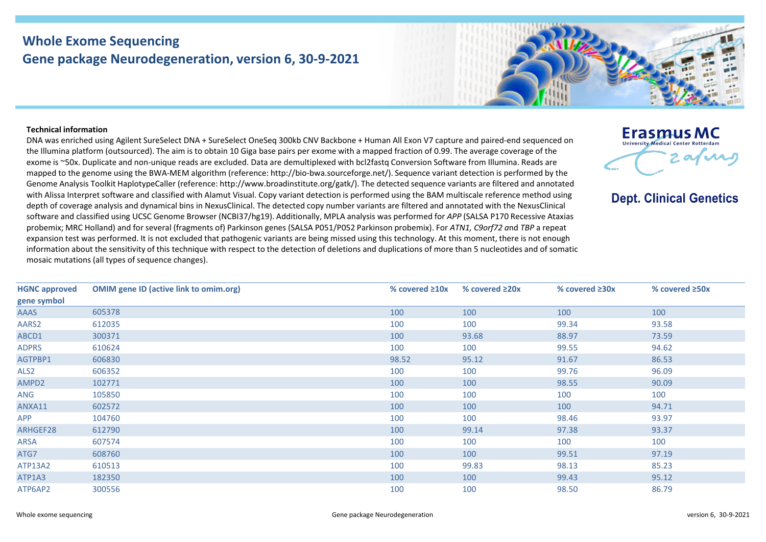## **Whole Exome Sequencing Gene package Neurodegeneration, version 6, 30-9-2021**

## **Technical information**

DNA was enriched using Agilent SureSelect DNA + SureSelect OneSeq 300kb CNV Backbone + Human All Exon V7 capture and paired-end sequenced on the Illumina platform (outsourced). The aim is to obtain 10 Giga base pairs per exome with a mapped fraction of 0.99. The average coverage of the exome is ~50x. Duplicate and non-unique reads are excluded. Data are demultiplexed with bcl2fastq Conversion Software from Illumina. Reads are mapped to the genome using the BWA-MEM algorithm (reference: http://bio-bwa.sourceforge.net/). Sequence variant detection is performed by the Genome Analysis Toolkit HaplotypeCaller (reference: http://www.broadinstitute.org/gatk/). The detected sequence variants are filtered and annotated with Alissa Interpret software and classified with Alamut Visual. Copy variant detection is performed using the BAM multiscale reference method using depth of coverage analysis and dynamical bins in NexusClinical. The detected copy number variants are filtered and annotated with the NexusClinical software and classified using UCSC Genome Browser (NCBI37/hg19). Additionally, MPLA analysis was performed for *APP* (SALSA P170 Recessive Ataxias probemix; MRC Holland) and for several (fragments of) Parkinson genes (SALSA P051/P052 Parkinson probemix). For *ATN1, C9orf72 a*nd *TBP* a repeat expansion test was performed. It is not excluded that pathogenic variants are being missed using this technology. At this moment, there is not enough information about the sensitivity of this technique with respect to the detection of deletions and duplications of more than 5 nucleotides and of somatic mosaic mutations (all types of sequence changes).

| <b>HGNC approved</b> | <b>OMIM gene ID (active link to omim.org)</b> | % covered $\geq 10x$ | % covered $\geq 20x$ | % covered $\geq 30x$ | % covered $\geq$ 50x |
|----------------------|-----------------------------------------------|----------------------|----------------------|----------------------|----------------------|
| gene symbol          |                                               |                      |                      |                      |                      |
| <b>AAAS</b>          | 605378                                        | 100                  | 100                  | 100                  | 100                  |
| AARS2                | 612035                                        | 100                  | 100                  | 99.34                | 93.58                |
| ABCD1                | 300371                                        | 100                  | 93.68                | 88.97                | 73.59                |
| <b>ADPRS</b>         | 610624                                        | 100                  | 100                  | 99.55                | 94.62                |
| AGTPBP1              | 606830                                        | 98.52                | 95.12                | 91.67                | 86.53                |
| ALS2                 | 606352                                        | 100                  | 100                  | 99.76                | 96.09                |
| AMPD2                | 102771                                        | 100                  | 100                  | 98.55                | 90.09                |
| ANG                  | 105850                                        | 100                  | 100                  | 100                  | 100                  |
| ANXA11               | 602572                                        | 100                  | 100                  | 100                  | 94.71                |
| <b>APP</b>           | 104760                                        | 100                  | 100                  | 98.46                | 93.97                |
| ARHGEF28             | 612790                                        | 100                  | 99.14                | 97.38                | 93.37                |
| ARSA                 | 607574                                        | 100                  | 100                  | 100                  | 100                  |
| ATG7                 | 608760                                        | 100                  | 100                  | 99.51                | 97.19                |
| ATP13A2              | 610513                                        | 100                  | 99.83                | 98.13                | 85.23                |
| ATP1A3               | 182350                                        | 100                  | 100                  | 99.43                | 95.12                |
| ATP6AP2              | 300556                                        | 100                  | 100                  | 98.50                | 86.79                |
|                      |                                               |                      |                      |                      |                      |



**Dept. Clinical Genetics** 

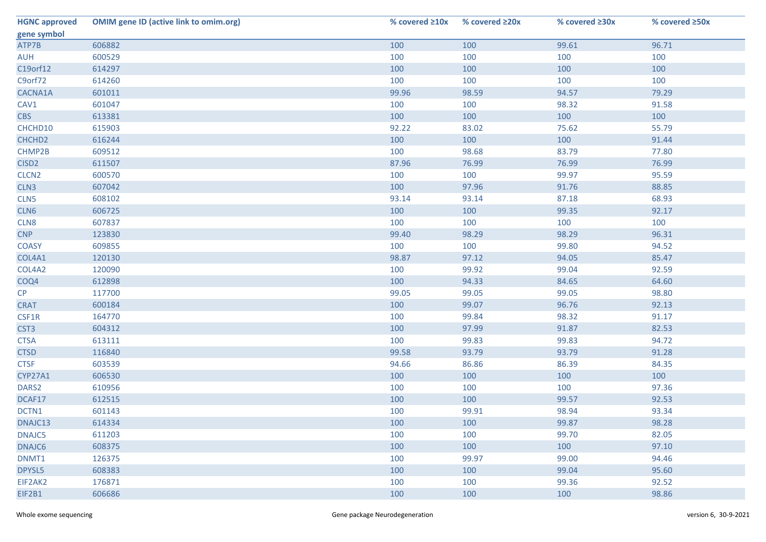| <b>HGNC approved</b> | <b>OMIM gene ID (active link to omim.org)</b> | % covered $\geq 10x$ | % covered $\geq 20x$ | % covered ≥30x | % covered ≥50x |
|----------------------|-----------------------------------------------|----------------------|----------------------|----------------|----------------|
| gene symbol          |                                               |                      |                      |                |                |
| ATP7B                | 606882                                        | 100                  | 100                  | 99.61          | 96.71          |
| <b>AUH</b>           | 600529                                        | 100                  | 100                  | 100            | 100            |
| C19orf12             | 614297                                        | 100                  | 100                  | 100            | 100            |
| C9orf72              | 614260                                        | 100                  | 100                  | 100            | 100            |
| CACNA1A              | 601011                                        | 99.96                | 98.59                | 94.57          | 79.29          |
| CAV1                 | 601047                                        | 100                  | 100                  | 98.32          | 91.58          |
| <b>CBS</b>           | 613381                                        | 100                  | 100                  | 100            | 100            |
| CHCHD10              | 615903                                        | 92.22                | 83.02                | 75.62          | 55.79          |
| CHCHD <sub>2</sub>   | 616244                                        | 100                  | 100                  | 100            | 91.44          |
| CHMP2B               | 609512                                        | 100                  | 98.68                | 83.79          | 77.80          |
| CISD <sub>2</sub>    | 611507                                        | 87.96                | 76.99                | 76.99          | 76.99          |
| CLCN <sub>2</sub>    | 600570                                        | 100                  | 100                  | 99.97          | 95.59          |
| CLN3                 | 607042                                        | 100                  | 97.96                | 91.76          | 88.85          |
| CLN5                 | 608102                                        | 93.14                | 93.14                | 87.18          | 68.93          |
| CLN6                 | 606725                                        | 100                  | 100                  | 99.35          | 92.17          |
| CLN8                 | 607837                                        | 100                  | 100                  | 100            | 100            |
| <b>CNP</b>           | 123830                                        | 99.40                | 98.29                | 98.29          | 96.31          |
| <b>COASY</b>         | 609855                                        | 100                  | 100                  | 99.80          | 94.52          |
| COL4A1               | 120130                                        | 98.87                | 97.12                | 94.05          | 85.47          |
| COL4A2               | 120090                                        | 100                  | 99.92                | 99.04          | 92.59          |
| COQ4                 | 612898                                        | 100                  | 94.33                | 84.65          | 64.60          |
| CP                   | 117700                                        | 99.05                | 99.05                | 99.05          | 98.80          |
| <b>CRAT</b>          | 600184                                        | 100                  | 99.07                | 96.76          | 92.13          |
| CSF1R                | 164770                                        | 100                  | 99.84                | 98.32          | 91.17          |
| CST <sub>3</sub>     | 604312                                        | 100                  | 97.99                | 91.87          | 82.53          |
| <b>CTSA</b>          | 613111                                        | 100                  | 99.83                | 99.83          | 94.72          |
| <b>CTSD</b>          | 116840                                        | 99.58                | 93.79                | 93.79          | 91.28          |
| <b>CTSF</b>          | 603539                                        | 94.66                | 86.86                | 86.39          | 84.35          |
| CYP27A1              | 606530                                        | 100                  | 100                  | 100            | 100            |
| DARS <sub>2</sub>    | 610956                                        | 100                  | 100                  | 100            | 97.36          |
| DCAF17               | 612515                                        | 100                  | 100                  | 99.57          | 92.53          |
| DCTN1                | 601143                                        | 100                  | 99.91                | 98.94          | 93.34          |
| DNAJC13              | 614334                                        | 100                  | 100                  | 99.87          | 98.28          |
| DNAJC5               | 611203                                        | 100                  | 100                  | 99.70          | 82.05          |
| DNAJC6               | 608375                                        | 100                  | 100                  | 100            | 97.10          |
| DNMT1                | 126375                                        | 100                  | 99.97                | 99.00          | 94.46          |
| DPYSL5               | 608383                                        | 100                  | 100                  | 99.04          | 95.60          |
| EIF2AK2              | 176871                                        | 100                  | 100                  | 99.36          | 92.52          |
| EIF2B1               | 606686                                        | 100                  | 100                  | 100            | 98.86          |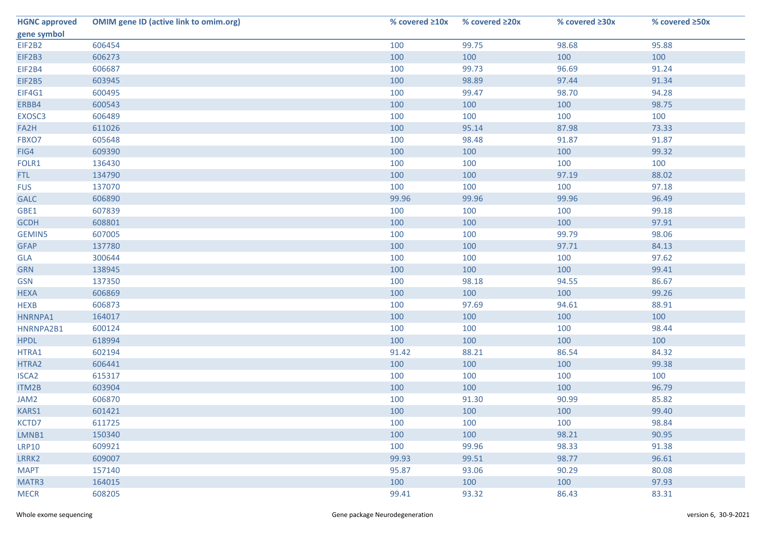| <b>HGNC approved</b> | <b>OMIM gene ID (active link to omim.org)</b> | % covered $\geq 10x$ | % covered $\geq 20x$ | % covered ≥30x | % covered ≥50x |
|----------------------|-----------------------------------------------|----------------------|----------------------|----------------|----------------|
| gene symbol          |                                               |                      |                      |                |                |
| EIF2B2               | 606454                                        | 100                  | 99.75                | 98.68          | 95.88          |
| EIF2B3               | 606273                                        | 100                  | 100                  | 100            | 100            |
| EIF2B4               | 606687                                        | 100                  | 99.73                | 96.69          | 91.24          |
| EIF2B5               | 603945                                        | 100                  | 98.89                | 97.44          | 91.34          |
| EIF4G1               | 600495                                        | 100                  | 99.47                | 98.70          | 94.28          |
| ERBB4                | 600543                                        | 100                  | 100                  | 100            | 98.75          |
| EXOSC3               | 606489                                        | 100                  | 100                  | 100            | 100            |
| FA2H                 | 611026                                        | 100                  | 95.14                | 87.98          | 73.33          |
| FBXO7                | 605648                                        | 100                  | 98.48                | 91.87          | 91.87          |
| FIG4                 | 609390                                        | 100                  | 100                  | 100            | 99.32          |
| FOLR1                | 136430                                        | 100                  | 100                  | 100            | 100            |
| FTL.                 | 134790                                        | 100                  | 100                  | 97.19          | 88.02          |
| <b>FUS</b>           | 137070                                        | 100                  | 100                  | 100            | 97.18          |
| <b>GALC</b>          | 606890                                        | 99.96                | 99.96                | 99.96          | 96.49          |
| GBE1                 | 607839                                        | 100                  | 100                  | 100            | 99.18          |
| <b>GCDH</b>          | 608801                                        | 100                  | 100                  | 100            | 97.91          |
| <b>GEMIN5</b>        | 607005                                        | 100                  | 100                  | 99.79          | 98.06          |
| <b>GFAP</b>          | 137780                                        | 100                  | 100                  | 97.71          | 84.13          |
| <b>GLA</b>           | 300644                                        | 100                  | 100                  | 100            | 97.62          |
| <b>GRN</b>           | 138945                                        | 100                  | 100                  | 100            | 99.41          |
| <b>GSN</b>           | 137350                                        | 100                  | 98.18                | 94.55          | 86.67          |
| <b>HEXA</b>          | 606869                                        | 100                  | 100                  | 100            | 99.26          |
| <b>HEXB</b>          | 606873                                        | 100                  | 97.69                | 94.61          | 88.91          |
| HNRNPA1              | 164017                                        | 100                  | 100                  | 100            | 100            |
| HNRNPA2B1            | 600124                                        | 100                  | 100                  | 100            | 98.44          |
| <b>HPDL</b>          | 618994                                        | 100                  | 100                  | 100            | 100            |
| HTRA1                | 602194                                        | 91.42                | 88.21                | 86.54          | 84.32          |
| HTRA2                | 606441                                        | 100                  | 100                  | 100            | 99.38          |
| ISCA <sub>2</sub>    | 615317                                        | 100                  | 100                  | 100            | 100            |
| ITM2B                | 603904                                        | 100                  | 100                  | 100            | 96.79          |
| JAM2                 | 606870                                        | 100                  | 91.30                | 90.99          | 85.82          |
| KARS1                | 601421                                        | 100                  | 100                  | 100            | 99.40          |
| KCTD7                | 611725                                        | 100                  | 100                  | 100            | 98.84          |
| LMNB1                | 150340                                        | 100                  | 100                  | 98.21          | 90.95          |
| <b>LRP10</b>         | 609921                                        | 100                  | 99.96                | 98.33          | 91.38          |
| LRRK2                | 609007                                        | 99.93                | 99.51                | 98.77          | 96.61          |
| <b>MAPT</b>          | 157140                                        | 95.87                | 93.06                | 90.29          | 80.08          |
| MATR3                | 164015                                        | 100                  | 100                  | 100            | 97.93          |
| <b>MECR</b>          | 608205                                        | 99.41                | 93.32                | 86.43          | 83.31          |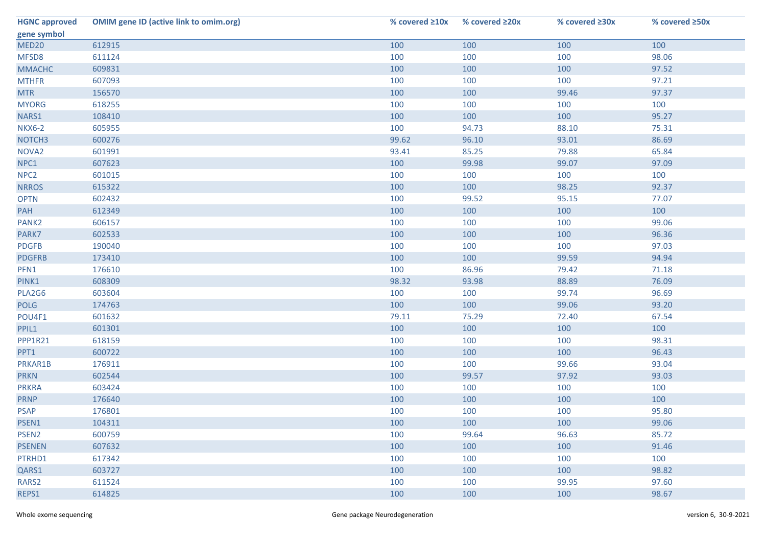| <b>HGNC approved</b> | <b>OMIM gene ID (active link to omim.org)</b> | % covered $\geq 10x$ | % covered $\geq 20x$ | % covered ≥30x | % covered ≥50x |
|----------------------|-----------------------------------------------|----------------------|----------------------|----------------|----------------|
| gene symbol          |                                               |                      |                      |                |                |
| MED20                | 612915                                        | 100                  | 100                  | 100            | 100            |
| MFSD8                | 611124                                        | 100                  | 100                  | 100            | 98.06          |
| <b>MMACHC</b>        | 609831                                        | 100                  | 100                  | 100            | 97.52          |
| <b>MTHFR</b>         | 607093                                        | 100                  | 100                  | 100            | 97.21          |
| <b>MTR</b>           | 156570                                        | 100                  | 100                  | 99.46          | 97.37          |
| <b>MYORG</b>         | 618255                                        | 100                  | 100                  | 100            | 100            |
| NARS1                | 108410                                        | 100                  | 100                  | 100            | 95.27          |
| <b>NKX6-2</b>        | 605955                                        | 100                  | 94.73                | 88.10          | 75.31          |
| NOTCH <sub>3</sub>   | 600276                                        | 99.62                | 96.10                | 93.01          | 86.69          |
| NOVA <sub>2</sub>    | 601991                                        | 93.41                | 85.25                | 79.88          | 65.84          |
| NPC1                 | 607623                                        | 100                  | 99.98                | 99.07          | 97.09          |
| NPC <sub>2</sub>     | 601015                                        | 100                  | 100                  | 100            | 100            |
| <b>NRROS</b>         | 615322                                        | 100                  | 100                  | 98.25          | 92.37          |
| <b>OPTN</b>          | 602432                                        | 100                  | 99.52                | 95.15          | 77.07          |
| PAH                  | 612349                                        | 100                  | 100                  | 100            | 100            |
| PANK <sub>2</sub>    | 606157                                        | 100                  | 100                  | 100            | 99.06          |
| PARK7                | 602533                                        | 100                  | 100                  | 100            | 96.36          |
| <b>PDGFB</b>         | 190040                                        | 100                  | 100                  | 100            | 97.03          |
| <b>PDGFRB</b>        | 173410                                        | 100                  | 100                  | 99.59          | 94.94          |
| PFN1                 | 176610                                        | 100                  | 86.96                | 79.42          | 71.18          |
| PINK1                | 608309                                        | 98.32                | 93.98                | 88.89          | 76.09          |
| PLA2G6               | 603604                                        | 100                  | 100                  | 99.74          | 96.69          |
| <b>POLG</b>          | 174763                                        | 100                  | 100                  | 99.06          | 93.20          |
| POU4F1               | 601632                                        | 79.11                | 75.29                | 72.40          | 67.54          |
| PPIL1                | 601301                                        | 100                  | 100                  | 100            | 100            |
| PPP1R21              | 618159                                        | 100                  | 100                  | 100            | 98.31          |
| PPT1                 | 600722                                        | 100                  | 100                  | 100            | 96.43          |
| PRKAR1B              | 176911                                        | 100                  | 100                  | 99.66          | 93.04          |
| <b>PRKN</b>          | 602544                                        | 100                  | 99.57                | 97.92          | 93.03          |
| <b>PRKRA</b>         | 603424                                        | 100                  | 100                  | 100            | 100            |
| <b>PRNP</b>          | 176640                                        | 100                  | 100                  | 100            | 100            |
| <b>PSAP</b>          | 176801                                        | 100                  | 100                  | 100            | 95.80          |
| PSEN1                | 104311                                        | 100                  | 100                  | 100            | 99.06          |
| PSEN <sub>2</sub>    | 600759                                        | 100                  | 99.64                | 96.63          | 85.72          |
| <b>PSENEN</b>        | 607632                                        | 100                  | 100                  | 100            | 91.46          |
| PTRHD1               | 617342                                        | 100                  | 100                  | 100            | 100            |
| QARS1                | 603727                                        | 100                  | 100                  | 100            | 98.82          |
| RARS2                | 611524                                        | 100                  | 100                  | 99.95          | 97.60          |
| REPS1                | 614825                                        | 100                  | 100                  | 100            | 98.67          |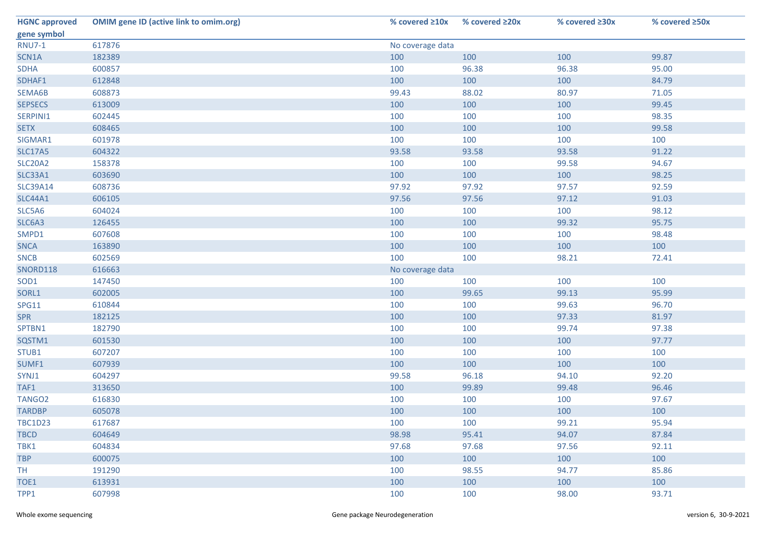| <b>HGNC approved</b> | <b>OMIM gene ID (active link to omim.org)</b> | % covered $\geq 10x$ | % covered $\geq$ 20x | % covered ≥30x | % covered $\geq$ 50x |  |
|----------------------|-----------------------------------------------|----------------------|----------------------|----------------|----------------------|--|
| gene symbol          |                                               |                      |                      |                |                      |  |
| <b>RNU7-1</b>        | 617876                                        | No coverage data     |                      |                |                      |  |
| SCN1A                | 182389                                        | 100                  | 100                  | 100            | 99.87                |  |
| <b>SDHA</b>          | 600857                                        | 100                  | 96.38                | 96.38          | 95.00                |  |
| SDHAF1               | 612848                                        | 100                  | 100                  | 100            | 84.79                |  |
| SEMA6B               | 608873                                        | 99.43                | 88.02                | 80.97          | 71.05                |  |
| <b>SEPSECS</b>       | 613009                                        | 100                  | 100                  | 100            | 99.45                |  |
| SERPINI1             | 602445                                        | 100                  | 100                  | 100            | 98.35                |  |
| <b>SETX</b>          | 608465                                        | 100                  | 100                  | 100            | 99.58                |  |
| SIGMAR1              | 601978                                        | 100                  | 100                  | 100            | 100                  |  |
| <b>SLC17A5</b>       | 604322                                        | 93.58                | 93.58                | 93.58          | 91.22                |  |
| <b>SLC20A2</b>       | 158378                                        | 100                  | 100                  | 99.58          | 94.67                |  |
| <b>SLC33A1</b>       | 603690                                        | 100                  | 100                  | 100            | 98.25                |  |
| <b>SLC39A14</b>      | 608736                                        | 97.92                | 97.92                | 97.57          | 92.59                |  |
| <b>SLC44A1</b>       | 606105                                        | 97.56                | 97.56                | 97.12          | 91.03                |  |
| SLC5A6               | 604024                                        | 100                  | 100                  | 100            | 98.12                |  |
| SLC6A3               | 126455                                        | 100                  | 100                  | 99.32          | 95.75                |  |
| SMPD1                | 607608                                        | 100                  | 100                  | 100            | 98.48                |  |
| <b>SNCA</b>          | 163890                                        | 100                  | 100                  | 100            | 100                  |  |
| <b>SNCB</b>          | 602569                                        | 100                  | 100                  | 98.21          | 72.41                |  |
| SNORD118             | 616663                                        | No coverage data     |                      |                |                      |  |
| SOD1                 | 147450                                        | 100                  | 100                  | 100            | 100                  |  |
| SORL1                | 602005                                        | 100                  | 99.65                | 99.13          | 95.99                |  |
| SPG11                | 610844                                        | 100                  | 100                  | 99.63          | 96.70                |  |
| <b>SPR</b>           | 182125                                        | 100                  | 100                  | 97.33          | 81.97                |  |
| SPTBN1               | 182790                                        | 100                  | 100                  | 99.74          | 97.38                |  |
| SQSTM1               | 601530                                        | 100                  | 100                  | 100            | 97.77                |  |
| STUB1                | 607207                                        | 100                  | 100                  | 100            | 100                  |  |
| SUMF1                | 607939                                        | 100                  | 100                  | 100            | 100                  |  |
| SYNJ1                | 604297                                        | 99.58                | 96.18                | 94.10          | 92.20                |  |
| TAF1                 | 313650                                        | 100                  | 99.89                | 99.48          | 96.46                |  |
| TANGO <sub>2</sub>   | 616830                                        | 100                  | 100                  | 100            | 97.67                |  |
| <b>TARDBP</b>        | 605078                                        | 100                  | 100                  | 100            | 100                  |  |
| <b>TBC1D23</b>       | 617687                                        | 100                  | 100                  | 99.21          | 95.94                |  |
| <b>TBCD</b>          | 604649                                        | 98.98                | 95.41                | 94.07          | 87.84                |  |
| TBK1                 | 604834                                        | 97.68                | 97.68                | 97.56          | 92.11                |  |
| <b>TBP</b>           | 600075                                        | 100                  | 100                  | 100            | 100                  |  |
| TH.                  | 191290                                        | 100                  | 98.55                | 94.77          | 85.86                |  |
| TOE1                 | 613931                                        | 100                  | 100                  | 100            | 100                  |  |
| TPP1                 | 607998                                        | 100                  | 100                  | 98.00          | 93.71                |  |